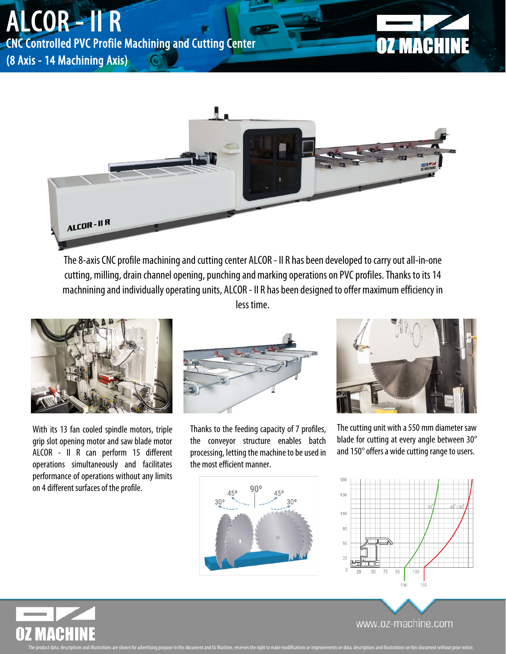## ALCOR - II R

CNC Controlled PVC Profile Machining and Cutting Center

(8 Axis - 14 Machining Axis)





The 8-axis CNC profile machining and cutting center ALCOR - II R has been developed to carry out all-in-one cutting, milling, drain channel opening, punching and marking operations on PVC profiles. Thanks to its 14 machnining and individually operating units, ALCOR - II R has been designed to offer maximum efficiency in less time.



With its 13 fan cooled spindle motors, triple grip slot opening motor and saw blade motor ALCOR - II R can perform 15 different operations simultaneously and facilitates performance of operations without any limits on 4 different surfaces of the profile.



Thanks to the feeding capacity of 7 profiles, the conveyor structure enables batch processing, letting the machine to be used in the most efficient manner.

ment and Oz Machine, reserves the right to make modifications or improvements on data, descriptions and illustrat



The cutting unit with a 550 mm diameter saw blade for cutting at every angle between 30° and 150° offers a wide cutting range to users.





www.oz-machine.com